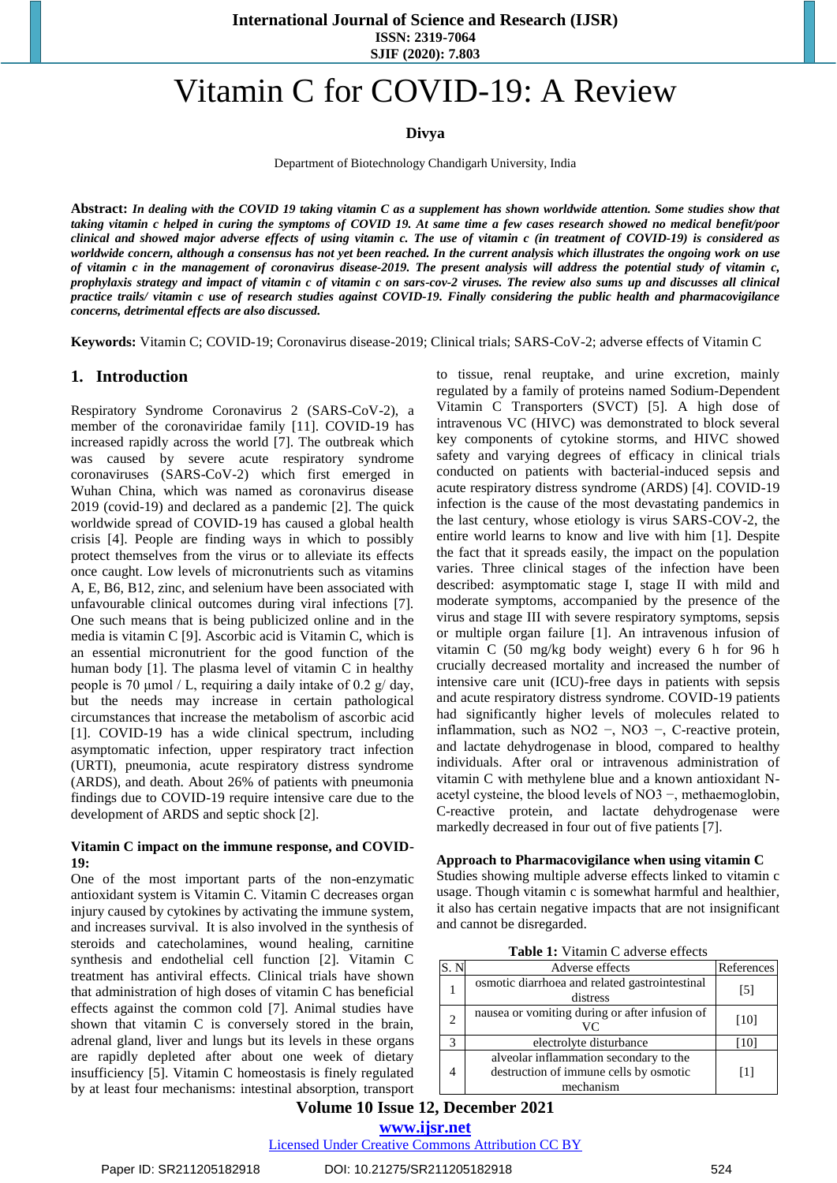# Vitamin C for COVID-19: A Review

## **Divya**

Department of Biotechnology Chandigarh University, India

**Abstract:** *In dealing with the COVID 19 taking vitamin C as a supplement has shown worldwide attention. Some studies show that taking vitamin c helped in curing the symptoms of COVID 19. At same time a few cases research showed no medical benefit/poor clinical and showed major adverse effects of using vitamin c. The use of vitamin c (in treatment of COVID-19) is considered as worldwide concern, although a consensus has not yet been reached. In the current analysis which illustrates the ongoing work on use of vitamin c in the management of coronavirus disease-2019. The present analysis will address the potential study of vitamin c, prophylaxis strategy and impact of vitamin c of vitamin c on sars-cov-2 viruses. The review also sums up and discusses all clinical practice trails/ vitamin c use of research studies against COVID-19. Finally considering the public health and pharmacovigilance concerns, detrimental effects are also discussed.*

**Keywords:** Vitamin C; COVID-19; Coronavirus disease-2019; Clinical trials; SARS-CoV-2; adverse effects of Vitamin C

## **1. Introduction**

Respiratory Syndrome Coronavirus 2 (SARS-CoV-2), a member of the coronaviridae family [11]. COVID-19 has increased rapidly across the world [7]. The outbreak which was caused by severe acute respiratory syndrome coronaviruses (SARS-CoV-2) which first emerged in Wuhan China, which was named as coronavirus disease 2019 (covid-19) and declared as a pandemic [2]. The quick worldwide spread of COVID-19 has caused a global health crisis [4]. People are finding ways in which to possibly protect themselves from the virus or to alleviate its effects once caught. Low levels of micronutrients such as vitamins A, E, B6, B12, zinc, and selenium have been associated with unfavourable clinical outcomes during viral infections [7]. One such means that is being publicized online and in the media is vitamin C [9]. Ascorbic acid is Vitamin C, which is an essential micronutrient for the good function of the human body [1]. The plasma level of vitamin C in healthy people is 70  $\mu$ mol / L, requiring a daily intake of 0.2 g/ day, but the needs may increase in certain pathological circumstances that increase the metabolism of ascorbic acid [1]. COVID-19 has a wide clinical spectrum, including asymptomatic infection, upper respiratory tract infection (URTI), pneumonia, acute respiratory distress syndrome (ARDS), and death. About 26% of patients with pneumonia findings due to COVID-19 require intensive care due to the development of ARDS and septic shock [2].

### **Vitamin C impact on the immune response, and COVID-19:**

One of the most important parts of the non-enzymatic antioxidant system is Vitamin C. Vitamin C decreases organ injury caused by cytokines by activating the immune system, and increases survival. It is also involved in the synthesis of steroids and catecholamines, wound healing, carnitine synthesis and endothelial cell function [2]. Vitamin C treatment has antiviral effects. Clinical trials have shown that administration of high doses of vitamin C has beneficial effects against the common cold [7]. Animal studies have shown that vitamin C is conversely stored in the brain, adrenal gland, liver and lungs but its levels in these organs are rapidly depleted after about one week of dietary insufficiency [5]. Vitamin C homeostasis is finely regulated by at least four mechanisms: intestinal absorption, transport

to tissue, renal reuptake, and urine excretion, mainly regulated by a family of proteins named Sodium-Dependent Vitamin C Transporters (SVCT) [5]. A high dose of intravenous VC (HIVC) was demonstrated to block several key components of cytokine storms, and HIVC showed safety and varying degrees of efficacy in clinical trials conducted on patients with bacterial-induced sepsis and acute respiratory distress syndrome (ARDS) [4]. COVID-19 infection is the cause of the most devastating pandemics in the last century, whose etiology is virus SARS-COV-2, the entire world learns to know and live with him [1]. Despite the fact that it spreads easily, the impact on the population varies. Three clinical stages of the infection have been described: asymptomatic stage I, stage II with mild and moderate symptoms, accompanied by the presence of the virus and stage III with severe respiratory symptoms, sepsis or multiple organ failure [1]. An intravenous infusion of vitamin C (50 mg/kg body weight) every 6 h for 96 h crucially decreased mortality and increased the number of intensive care unit (ICU)-free days in patients with sepsis and acute respiratory distress syndrome. COVID-19 patients had significantly higher levels of molecules related to inflammation, such as NO2 −, NO3 −, C-reactive protein, and lactate dehydrogenase in blood, compared to healthy individuals. After oral or intravenous administration of vitamin C with methylene blue and a known antioxidant Nacetyl cysteine, the blood levels of NO3 −, methaemoglobin, C-reactive protein, and lactate dehydrogenase were markedly decreased in four out of five patients [7].

#### **Approach to Pharmacovigilance when using vitamin C**

Studies showing multiple adverse effects linked to vitamin c usage. Though vitamin c is somewhat harmful and healthier, it also has certain negative impacts that are not insignificant and cannot be disregarded.

|  |  | <b>Table 1:</b> Vitamin C adverse effects |  |
|--|--|-------------------------------------------|--|
|--|--|-------------------------------------------|--|

|   | Adverse effects                                                                               | References |
|---|-----------------------------------------------------------------------------------------------|------------|
|   | osmotic diarrhoea and related gastrointestinal<br>distress                                    | [5]        |
| 2 | nausea or vomiting during or after infusion of<br>VC                                          | [10]       |
| 3 | electrolyte disturbance                                                                       | 10         |
|   | alveolar inflammation secondary to the<br>destruction of immune cells by osmotic<br>mechanism | [1]        |

# **Volume 10 Issue 12, December 2021**

**www.ijsr.net**

Licensed Under Creative Commons Attribution CC BY